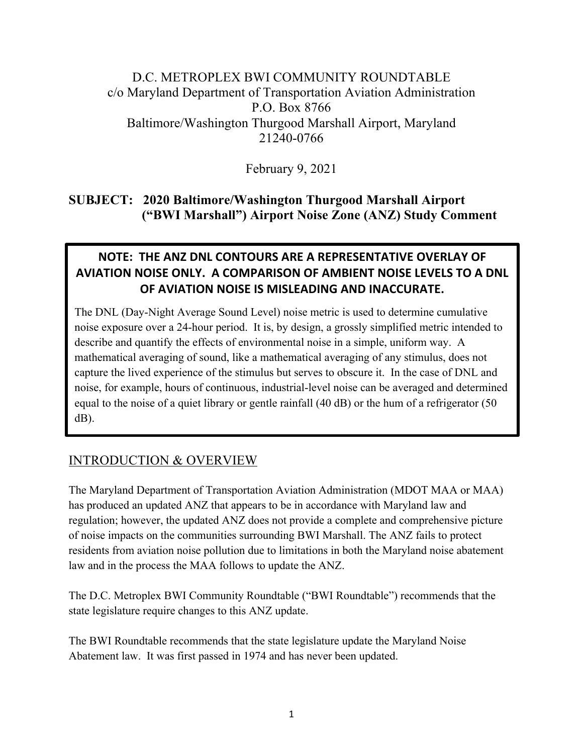# D.C. METROPLEX BWI COMMUNITY ROUNDTABLE c/o Maryland Department of Transportation Aviation Administration P.O. Box 8766 Baltimore/Washington Thurgood Marshall Airport, Maryland 21240-0766

February 9, 2021

### **SUBJECT: 2020 Baltimore/Washington Thurgood Marshall Airport ("BWI Marshall") Airport Noise Zone (ANZ) Study Comment**

# **NOTE: THE ANZ DNL CONTOURS ARE A REPRESENTATIVE OVERLAY OF AVIATION NOISE ONLY. A COMPARISON OF AMBIENT NOISE LEVELS TO A DNL OF AVIATION NOISE IS MISLEADING AND INACCURATE.**

The DNL (Day-Night Average Sound Level) noise metric is used to determine cumulative noise exposure over a 24-hour period. It is, by design, a grossly simplified metric intended to describe and quantify the effects of environmental noise in a simple, uniform way. A mathematical averaging of sound, like a mathematical averaging of any stimulus, does not capture the lived experience of the stimulus but serves to obscure it. In the case of DNL and noise, for example, hours of continuous, industrial-level noise can be averaged and determined equal to the noise of a quiet library or gentle rainfall (40 dB) or the hum of a refrigerator (50 dB).

# INTRODUCTION & OVERVIEW

The Maryland Department of Transportation Aviation Administration (MDOT MAA or MAA) has produced an updated ANZ that appears to be in accordance with Maryland law and regulation; however, the updated ANZ does not provide a complete and comprehensive picture of noise impacts on the communities surrounding BWI Marshall. The ANZ fails to protect residents from aviation noise pollution due to limitations in both the Maryland noise abatement law and in the process the MAA follows to update the ANZ.

The D.C. Metroplex BWI Community Roundtable ("BWI Roundtable") recommends that the state legislature require changes to this ANZ update.

The BWI Roundtable recommends that the state legislature update the Maryland Noise Abatement law. It was first passed in 1974 and has never been updated.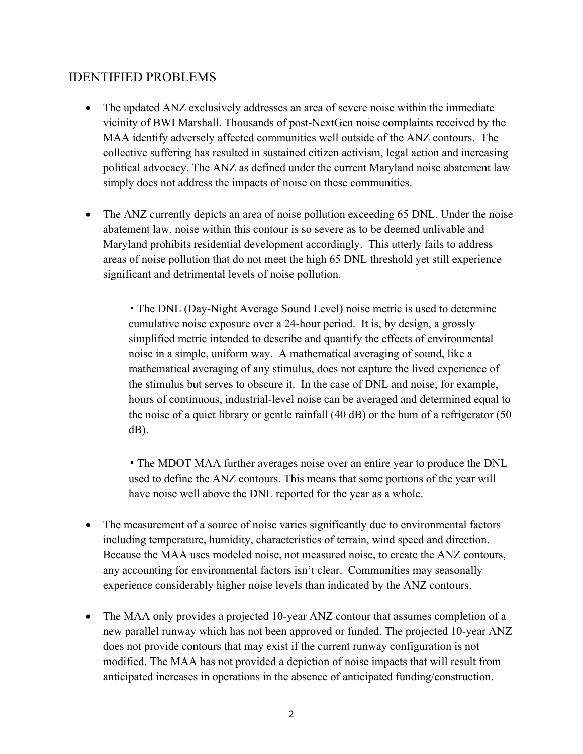#### IDENTIFIED PROBLEMS

- The updated ANZ exclusively addresses an area of severe noise within the immediate vicinity of BWI Marshall. Thousands of post-NextGen noise complaints received by the MAA identify adversely affected communities well outside of the ANZ contours. The collective suffering has resulted in sustained citizen activism, legal action and increasing political advocacy. The ANZ as defined under the current Maryland noise abatement law simply does not address the impacts of noise on these communities.
- The ANZ currently depicts an area of noise pollution exceeding 65 DNL. Under the noise abatement law, noise within this contour is so severe as to be deemed unlivable and Maryland prohibits residential development accordingly. This utterly fails to address areas of noise pollution that do not meet the high 65 DNL threshold yet still experience significant and detrimental levels of noise pollution.

• The DNL (Day-Night Average Sound Level) noise metric is used to determine cumulative noise exposure over a 24-hour period. It is, by design, a grossly simplified metric intended to describe and quantify the effects of environmental noise in a simple, uniform way. A mathematical averaging of sound, like a mathematical averaging of any stimulus, does not capture the lived experience of the stimulus but serves to obscure it. In the case of DNL and noise, for example, hours of continuous, industrial-level noise can be averaged and determined equal to the noise of a quiet library or gentle rainfall (40 dB) or the hum of a refrigerator (50 dB).

▪The MDOT MAA further averages noise over an entire year to produce the DNL used to define the ANZ contours. This means that some portions of the year will have noise well above the DNL reported for the year as a whole.

- The measurement of a source of noise varies significantly due to environmental factors including temperature, humidity, characteristics of terrain, wind speed and direction. Because the MAA uses modeled noise, not measured noise, to create the ANZ contours, any accounting for environmental factors isn't clear. Communities may seasonally experience considerably higher noise levels than indicated by the ANZ contours.
- The MAA only provides a projected 10-year ANZ contour that assumes completion of a new parallel runway which has not been approved or funded. The projected 10-year ANZ does not provide contours that may exist if the current runway configuration is not modified. The MAA has not provided a depiction of noise impacts that will result from anticipated increases in operations in the absence of anticipated funding/construction.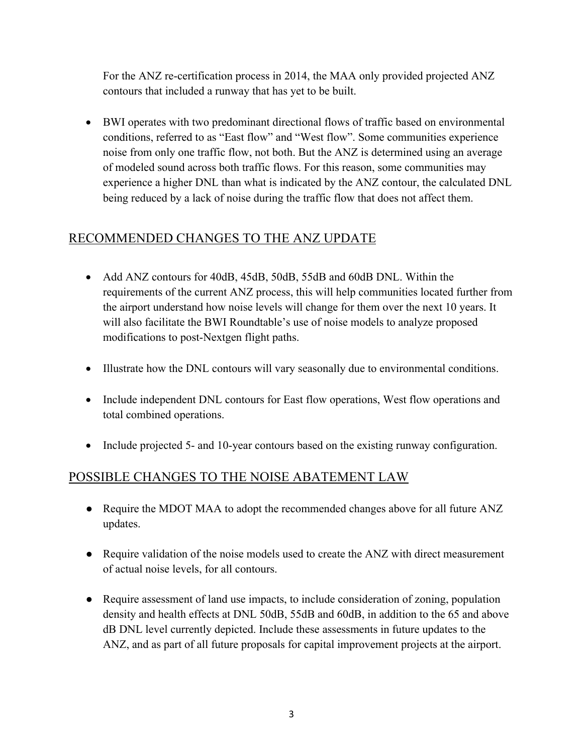For the ANZ re-certification process in 2014, the MAA only provided projected ANZ contours that included a runway that has yet to be built.

• BWI operates with two predominant directional flows of traffic based on environmental conditions, referred to as "East flow" and "West flow". Some communities experience noise from only one traffic flow, not both. But the ANZ is determined using an average of modeled sound across both traffic flows. For this reason, some communities may experience a higher DNL than what is indicated by the ANZ contour, the calculated DNL being reduced by a lack of noise during the traffic flow that does not affect them.

# RECOMMENDED CHANGES TO THE ANZ UPDATE

- Add ANZ contours for 40dB, 45dB, 50dB, 55dB and 60dB DNL. Within the requirements of the current ANZ process, this will help communities located further from the airport understand how noise levels will change for them over the next 10 years. It will also facilitate the BWI Roundtable's use of noise models to analyze proposed modifications to post-Nextgen flight paths.
- Illustrate how the DNL contours will vary seasonally due to environmental conditions.
- Include independent DNL contours for East flow operations, West flow operations and total combined operations.
- Include projected 5- and 10-year contours based on the existing runway configuration.

### POSSIBLE CHANGES TO THE NOISE ABATEMENT LAW

- Require the MDOT MAA to adopt the recommended changes above for all future ANZ updates.
- Require validation of the noise models used to create the ANZ with direct measurement of actual noise levels, for all contours.
- Require assessment of land use impacts, to include consideration of zoning, population density and health effects at DNL 50dB, 55dB and 60dB, in addition to the 65 and above dB DNL level currently depicted. Include these assessments in future updates to the ANZ, and as part of all future proposals for capital improvement projects at the airport.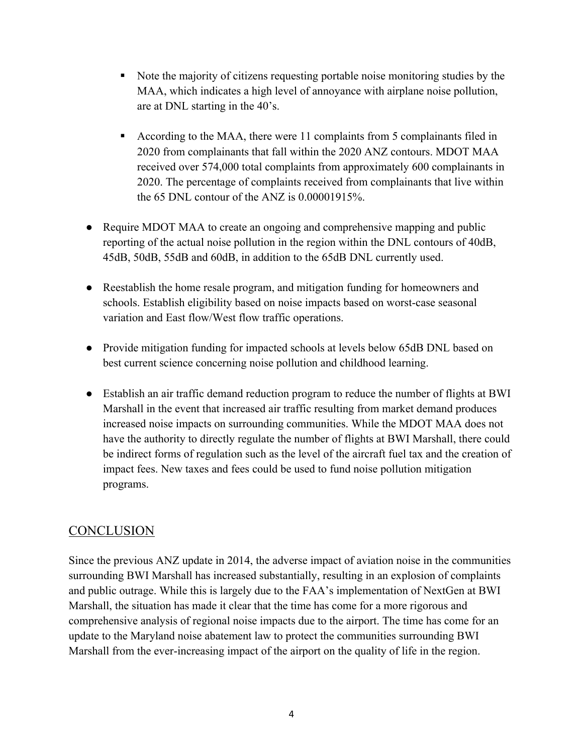- Note the majority of citizens requesting portable noise monitoring studies by the MAA, which indicates a high level of annoyance with airplane noise pollution, are at DNL starting in the 40's.
- According to the MAA, there were 11 complaints from 5 complainants filed in 2020 from complainants that fall within the 2020 ANZ contours. MDOT MAA received over 574,000 total complaints from approximately 600 complainants in 2020. The percentage of complaints received from complainants that live within the 65 DNL contour of the ANZ is 0.00001915%.
- Require MDOT MAA to create an ongoing and comprehensive mapping and public reporting of the actual noise pollution in the region within the DNL contours of 40dB, 45dB, 50dB, 55dB and 60dB, in addition to the 65dB DNL currently used.
- Reestablish the home resale program, and mitigation funding for homeowners and schools. Establish eligibility based on noise impacts based on worst-case seasonal variation and East flow/West flow traffic operations.
- Provide mitigation funding for impacted schools at levels below 65dB DNL based on best current science concerning noise pollution and childhood learning.
- Establish an air traffic demand reduction program to reduce the number of flights at BWI Marshall in the event that increased air traffic resulting from market demand produces increased noise impacts on surrounding communities. While the MDOT MAA does not have the authority to directly regulate the number of flights at BWI Marshall, there could be indirect forms of regulation such as the level of the aircraft fuel tax and the creation of impact fees. New taxes and fees could be used to fund noise pollution mitigation programs.

# **CONCLUSION**

Since the previous ANZ update in 2014, the adverse impact of aviation noise in the communities surrounding BWI Marshall has increased substantially, resulting in an explosion of complaints and public outrage. While this is largely due to the FAA's implementation of NextGen at BWI Marshall, the situation has made it clear that the time has come for a more rigorous and comprehensive analysis of regional noise impacts due to the airport. The time has come for an update to the Maryland noise abatement law to protect the communities surrounding BWI Marshall from the ever-increasing impact of the airport on the quality of life in the region.